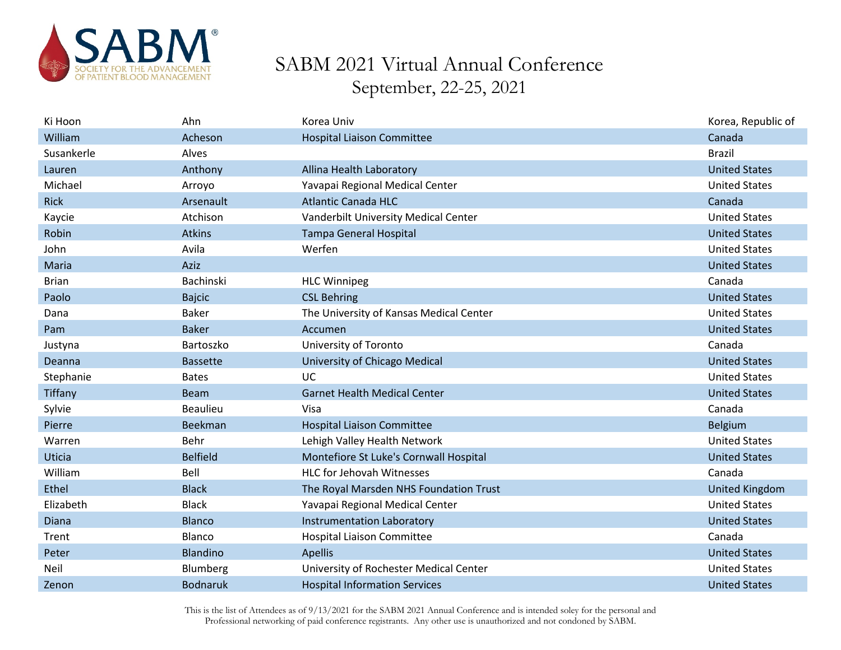

| Ki Hoon      | Ahn             | Korea Univ                              | Korea, Republic of    |
|--------------|-----------------|-----------------------------------------|-----------------------|
| William      | Acheson         | <b>Hospital Liaison Committee</b>       | Canada                |
| Susankerle   | Alves           |                                         | <b>Brazil</b>         |
| Lauren       | Anthony         | Allina Health Laboratory                | <b>United States</b>  |
| Michael      | Arroyo          | Yavapai Regional Medical Center         | <b>United States</b>  |
| <b>Rick</b>  | Arsenault       | <b>Atlantic Canada HLC</b>              | Canada                |
| Kaycie       | Atchison        | Vanderbilt University Medical Center    | <b>United States</b>  |
| Robin        | <b>Atkins</b>   | <b>Tampa General Hospital</b>           | <b>United States</b>  |
| John         | Avila           | Werfen                                  | <b>United States</b>  |
| Maria        | Aziz            |                                         | <b>United States</b>  |
| <b>Brian</b> | Bachinski       | <b>HLC Winnipeg</b>                     | Canada                |
| Paolo        | <b>Bajcic</b>   | <b>CSL Behring</b>                      | <b>United States</b>  |
| Dana         | <b>Baker</b>    | The University of Kansas Medical Center | <b>United States</b>  |
| Pam          | <b>Baker</b>    | Accumen                                 | <b>United States</b>  |
| Justyna      | Bartoszko       | University of Toronto                   | Canada                |
| Deanna       | <b>Bassette</b> | University of Chicago Medical           | <b>United States</b>  |
| Stephanie    | <b>Bates</b>    | <b>UC</b>                               | <b>United States</b>  |
| Tiffany      | <b>Beam</b>     | <b>Garnet Health Medical Center</b>     | <b>United States</b>  |
| Sylvie       | <b>Beaulieu</b> | Visa                                    | Canada                |
| Pierre       | Beekman         | <b>Hospital Liaison Committee</b>       | Belgium               |
| Warren       | Behr            | Lehigh Valley Health Network            | <b>United States</b>  |
| Uticia       | <b>Belfield</b> | Montefiore St Luke's Cornwall Hospital  | <b>United States</b>  |
| William      | Bell            | <b>HLC for Jehovah Witnesses</b>        | Canada                |
| Ethel        | <b>Black</b>    | The Royal Marsden NHS Foundation Trust  | <b>United Kingdom</b> |
| Elizabeth    | <b>Black</b>    | Yavapai Regional Medical Center         | <b>United States</b>  |
| Diana        | <b>Blanco</b>   | Instrumentation Laboratory              | <b>United States</b>  |
| Trent        | Blanco          | Hospital Liaison Committee              | Canada                |
| Peter        | Blandino        | Apellis                                 | <b>United States</b>  |
| Neil         | Blumberg        | University of Rochester Medical Center  | <b>United States</b>  |
| Zenon        | <b>Bodnaruk</b> | <b>Hospital Information Services</b>    | <b>United States</b>  |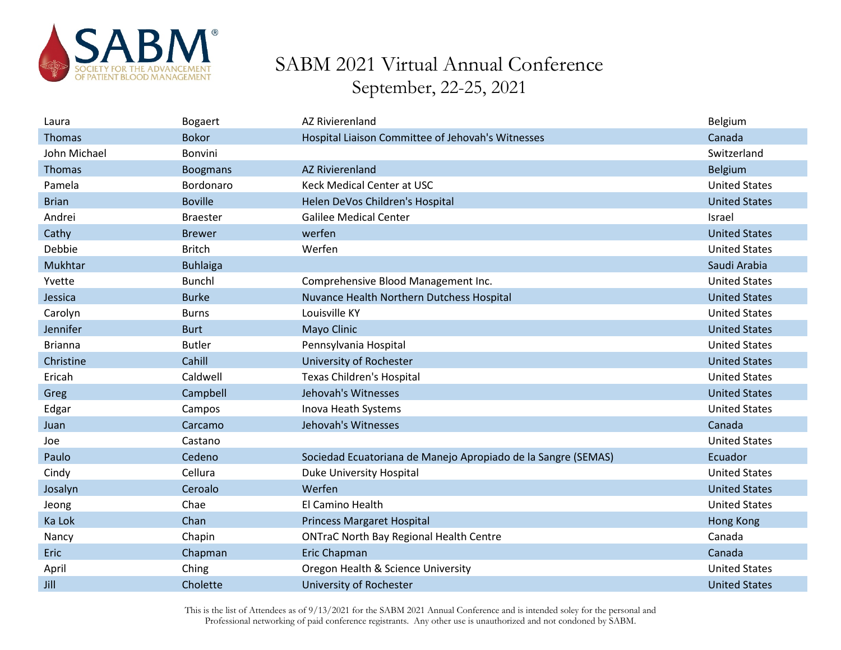

| Laura          | <b>Bogaert</b>  | <b>AZ Rivierenland</b>                                        | Belgium              |
|----------------|-----------------|---------------------------------------------------------------|----------------------|
| <b>Thomas</b>  | <b>Bokor</b>    | Hospital Liaison Committee of Jehovah's Witnesses             | Canada               |
| John Michael   | Bonvini         |                                                               | Switzerland          |
| Thomas         | <b>Boogmans</b> | <b>AZ Rivierenland</b>                                        | <b>Belgium</b>       |
| Pamela         | Bordonaro       | Keck Medical Center at USC                                    | <b>United States</b> |
| <b>Brian</b>   | <b>Boville</b>  | Helen DeVos Children's Hospital                               | <b>United States</b> |
| Andrei         | <b>Braester</b> | <b>Galilee Medical Center</b>                                 | Israel               |
| Cathy          | <b>Brewer</b>   | werfen                                                        | <b>United States</b> |
| Debbie         | <b>Britch</b>   | Werfen                                                        | <b>United States</b> |
| Mukhtar        | <b>Buhlaiga</b> |                                                               | Saudi Arabia         |
| Yvette         | <b>Bunchl</b>   | Comprehensive Blood Management Inc.                           | <b>United States</b> |
| Jessica        | <b>Burke</b>    | Nuvance Health Northern Dutchess Hospital                     | <b>United States</b> |
| Carolyn        | <b>Burns</b>    | Louisville KY                                                 | <b>United States</b> |
| Jennifer       | <b>Burt</b>     | Mayo Clinic                                                   | <b>United States</b> |
| <b>Brianna</b> | <b>Butler</b>   | Pennsylvania Hospital                                         | <b>United States</b> |
| Christine      | Cahill          | University of Rochester                                       | <b>United States</b> |
| Ericah         | Caldwell        | <b>Texas Children's Hospital</b>                              | <b>United States</b> |
| Greg           | Campbell        | Jehovah's Witnesses                                           | <b>United States</b> |
| Edgar          | Campos          | Inova Heath Systems                                           | <b>United States</b> |
| Juan           | Carcamo         | Jehovah's Witnesses                                           | Canada               |
| Joe            | Castano         |                                                               | <b>United States</b> |
| Paulo          | Cedeno          | Sociedad Ecuatoriana de Manejo Apropiado de la Sangre (SEMAS) | Ecuador              |
| Cindy          | Cellura         | <b>Duke University Hospital</b>                               | <b>United States</b> |
| Josalyn        | Ceroalo         | Werfen                                                        | <b>United States</b> |
| Jeong          | Chae            | El Camino Health                                              | <b>United States</b> |
| Ka Lok         | Chan            | <b>Princess Margaret Hospital</b>                             | <b>Hong Kong</b>     |
| Nancy          | Chapin          | <b>ONTraC North Bay Regional Health Centre</b>                | Canada               |
| <b>Eric</b>    | Chapman         | Eric Chapman                                                  | Canada               |
| April          | Ching           | Oregon Health & Science University                            | <b>United States</b> |
| Jill           | Cholette        | University of Rochester                                       | <b>United States</b> |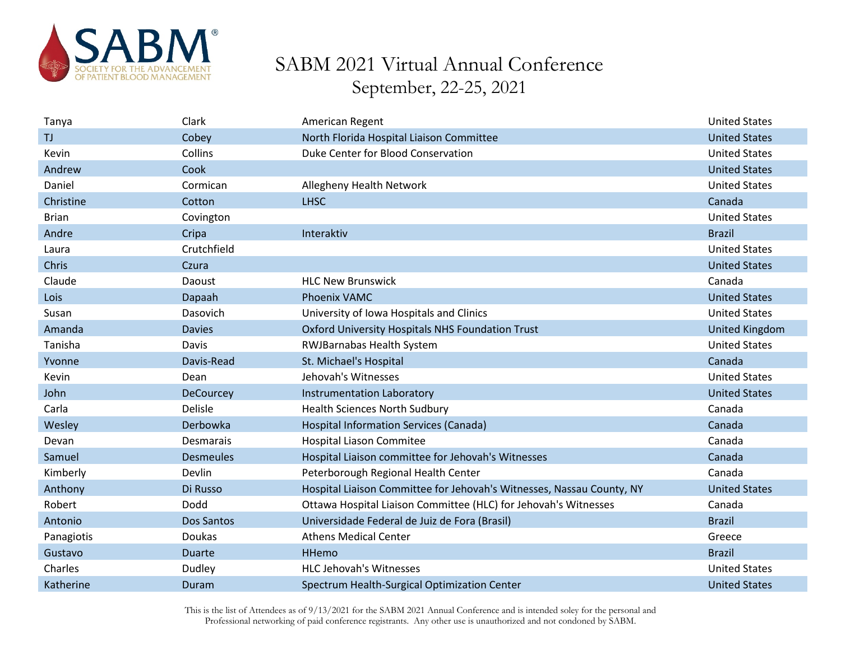

| Tanya        | Clark            | American Regent                                                       | <b>United States</b>  |
|--------------|------------------|-----------------------------------------------------------------------|-----------------------|
| TJ.          | Cobey            | North Florida Hospital Liaison Committee                              | <b>United States</b>  |
| Kevin        | Collins          | Duke Center for Blood Conservation                                    | <b>United States</b>  |
| Andrew       | Cook             |                                                                       | <b>United States</b>  |
| Daniel       | Cormican         | Allegheny Health Network                                              | <b>United States</b>  |
| Christine    | Cotton           | <b>LHSC</b>                                                           | Canada                |
| <b>Brian</b> | Covington        |                                                                       | <b>United States</b>  |
| Andre        | Cripa            | Interaktiv                                                            | <b>Brazil</b>         |
| Laura        | Crutchfield      |                                                                       | <b>United States</b>  |
| Chris        | Czura            |                                                                       | <b>United States</b>  |
| Claude       | Daoust           | <b>HLC New Brunswick</b>                                              | Canada                |
| Lois         | Dapaah           | <b>Phoenix VAMC</b>                                                   | <b>United States</b>  |
| Susan        | Dasovich         | University of Iowa Hospitals and Clinics                              | <b>United States</b>  |
| Amanda       | <b>Davies</b>    | Oxford University Hospitals NHS Foundation Trust                      | <b>United Kingdom</b> |
| Tanisha      | Davis            | RWJBarnabas Health System                                             | <b>United States</b>  |
| Yvonne       | Davis-Read       | St. Michael's Hospital                                                | Canada                |
| Kevin        | Dean             | Jehovah's Witnesses                                                   | <b>United States</b>  |
| John         | <b>DeCourcey</b> | Instrumentation Laboratory                                            | <b>United States</b>  |
| Carla        | Delisle          | <b>Health Sciences North Sudbury</b>                                  | Canada                |
| Wesley       | Derbowka         | Hospital Information Services (Canada)                                | Canada                |
| Devan        | Desmarais        | Hospital Liason Commitee                                              | Canada                |
| Samuel       | <b>Desmeules</b> | Hospital Liaison committee for Jehovah's Witnesses                    | Canada                |
| Kimberly     | Devlin           | Peterborough Regional Health Center                                   | Canada                |
| Anthony      | Di Russo         | Hospital Liaison Committee for Jehovah's Witnesses, Nassau County, NY | <b>United States</b>  |
| Robert       | Dodd             | Ottawa Hospital Liaison Committee (HLC) for Jehovah's Witnesses       | Canada                |
| Antonio      | Dos Santos       | Universidade Federal de Juiz de Fora (Brasil)                         | <b>Brazil</b>         |
| Panagiotis   | Doukas           | <b>Athens Medical Center</b>                                          | Greece                |
| Gustavo      | <b>Duarte</b>    | HHemo                                                                 | <b>Brazil</b>         |
| Charles      | Dudley           | <b>HLC Jehovah's Witnesses</b>                                        | <b>United States</b>  |
| Katherine    | Duram            | Spectrum Health-Surgical Optimization Center                          | <b>United States</b>  |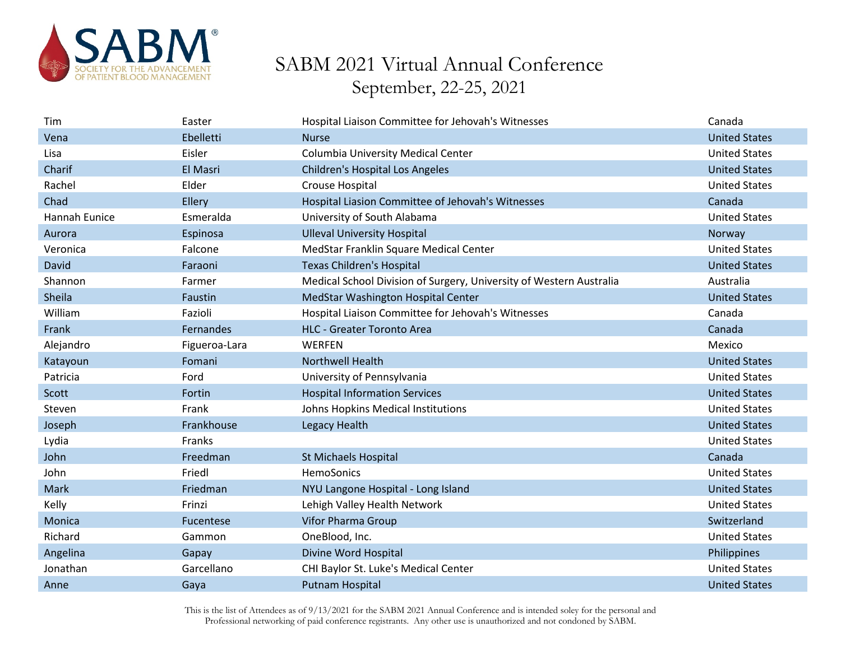

| Tim           | Easter        | Hospital Liaison Committee for Jehovah's Witnesses                  | Canada               |
|---------------|---------------|---------------------------------------------------------------------|----------------------|
| Vena          | Ebelletti     | <b>Nurse</b>                                                        | <b>United States</b> |
| Lisa          | Eisler        | <b>Columbia University Medical Center</b>                           | <b>United States</b> |
| Charif        | El Masri      | <b>Children's Hospital Los Angeles</b>                              | <b>United States</b> |
| Rachel        | Elder         | Crouse Hospital                                                     | <b>United States</b> |
| Chad          | Ellery        | Hospital Liasion Committee of Jehovah's Witnesses                   | Canada               |
| Hannah Eunice | Esmeralda     | University of South Alabama                                         | <b>United States</b> |
| Aurora        | Espinosa      | <b>Ulleval University Hospital</b>                                  | Norway               |
| Veronica      | Falcone       | MedStar Franklin Square Medical Center                              | <b>United States</b> |
| David         | Faraoni       | <b>Texas Children's Hospital</b>                                    | <b>United States</b> |
| Shannon       | Farmer        | Medical School Division of Surgery, University of Western Australia | Australia            |
| Sheila        | Faustin       | MedStar Washington Hospital Center                                  | <b>United States</b> |
| William       | Fazioli       | Hospital Liaison Committee for Jehovah's Witnesses                  | Canada               |
| Frank         | Fernandes     | <b>HLC - Greater Toronto Area</b>                                   | Canada               |
| Alejandro     | Figueroa-Lara | <b>WERFEN</b>                                                       | Mexico               |
| Katayoun      | Fomani        | <b>Northwell Health</b>                                             | <b>United States</b> |
| Patricia      | Ford          | University of Pennsylvania                                          | <b>United States</b> |
| Scott         | Fortin        | <b>Hospital Information Services</b>                                | <b>United States</b> |
| Steven        | Frank         | Johns Hopkins Medical Institutions                                  | <b>United States</b> |
| Joseph        | Frankhouse    | Legacy Health                                                       | <b>United States</b> |
| Lydia         | Franks        |                                                                     | <b>United States</b> |
| John          | Freedman      | <b>St Michaels Hospital</b>                                         | Canada               |
| John          | Friedl        | HemoSonics                                                          | <b>United States</b> |
| Mark          | Friedman      | NYU Langone Hospital - Long Island                                  | <b>United States</b> |
| Kelly         | Frinzi        | Lehigh Valley Health Network                                        | <b>United States</b> |
| Monica        | Fucentese     | Vifor Pharma Group                                                  | Switzerland          |
| Richard       | Gammon        | OneBlood, Inc.                                                      | <b>United States</b> |
| Angelina      | Gapay         | Divine Word Hospital                                                | Philippines          |
| Jonathan      | Garcellano    | CHI Baylor St. Luke's Medical Center                                | <b>United States</b> |
| Anne          | Gaya          | <b>Putnam Hospital</b>                                              | <b>United States</b> |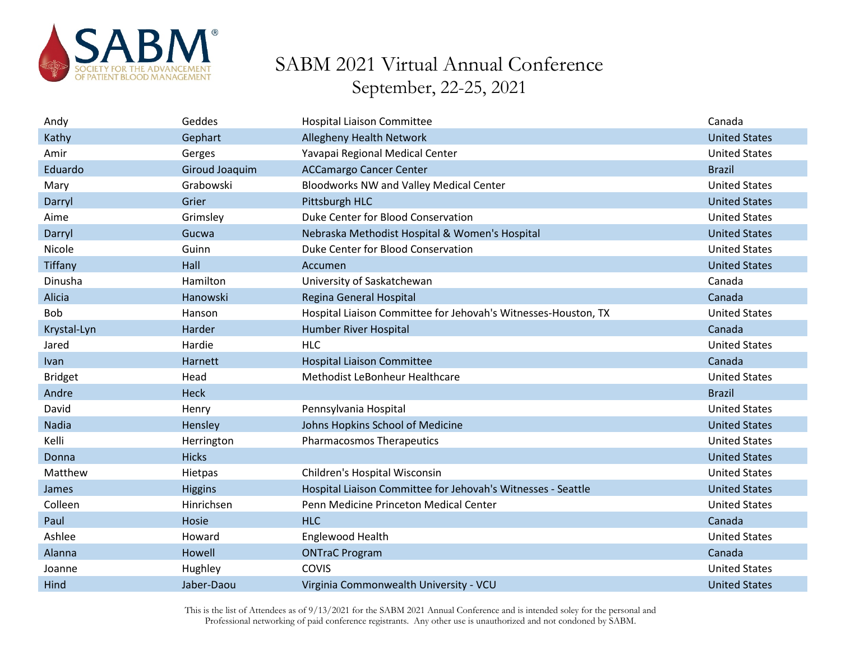

| Andy           | Geddes         | <b>Hospital Liaison Committee</b>                              | Canada               |
|----------------|----------------|----------------------------------------------------------------|----------------------|
| Kathy          | Gephart        | <b>Allegheny Health Network</b>                                | <b>United States</b> |
| Amir           | Gerges         | Yavapai Regional Medical Center                                | <b>United States</b> |
| Eduardo        | Giroud Joaquim | <b>ACCamargo Cancer Center</b>                                 | <b>Brazil</b>        |
| Mary           | Grabowski      | Bloodworks NW and Valley Medical Center                        | <b>United States</b> |
| Darryl         | Grier          | Pittsburgh HLC                                                 | <b>United States</b> |
| Aime           | Grimsley       | Duke Center for Blood Conservation                             | <b>United States</b> |
| Darryl         | Gucwa          | Nebraska Methodist Hospital & Women's Hospital                 | <b>United States</b> |
| Nicole         | Guinn          | Duke Center for Blood Conservation                             | <b>United States</b> |
| Tiffany        | Hall           | Accumen                                                        | <b>United States</b> |
| Dinusha        | Hamilton       | University of Saskatchewan                                     | Canada               |
| Alicia         | Hanowski       | Regina General Hospital                                        | Canada               |
| <b>Bob</b>     | Hanson         | Hospital Liaison Committee for Jehovah's Witnesses-Houston, TX | <b>United States</b> |
| Krystal-Lyn    | Harder         | Humber River Hospital                                          | Canada               |
| Jared          | Hardie         | <b>HLC</b>                                                     | <b>United States</b> |
| Ivan           | Harnett        | <b>Hospital Liaison Committee</b>                              | Canada               |
| <b>Bridget</b> | Head           | Methodist LeBonheur Healthcare                                 | <b>United States</b> |
| Andre          | Heck           |                                                                | <b>Brazil</b>        |
| David          | Henry          | Pennsylvania Hospital                                          | <b>United States</b> |
| Nadia          | Hensley        | Johns Hopkins School of Medicine                               | <b>United States</b> |
| Kelli          | Herrington     | <b>Pharmacosmos Therapeutics</b>                               | <b>United States</b> |
| Donna          | <b>Hicks</b>   |                                                                | <b>United States</b> |
| Matthew        | Hietpas        | Children's Hospital Wisconsin                                  | <b>United States</b> |
| James          | <b>Higgins</b> | Hospital Liaison Committee for Jehovah's Witnesses - Seattle   | <b>United States</b> |
| Colleen        | Hinrichsen     | Penn Medicine Princeton Medical Center                         | <b>United States</b> |
| Paul           | Hosie          | <b>HLC</b>                                                     | Canada               |
| Ashlee         | Howard         | Englewood Health                                               | <b>United States</b> |
| Alanna         | Howell         | <b>ONTraC Program</b>                                          | Canada               |
| Joanne         | Hughley        | <b>COVIS</b>                                                   | <b>United States</b> |
| Hind           | Jaber-Daou     | Virginia Commonwealth University - VCU                         | <b>United States</b> |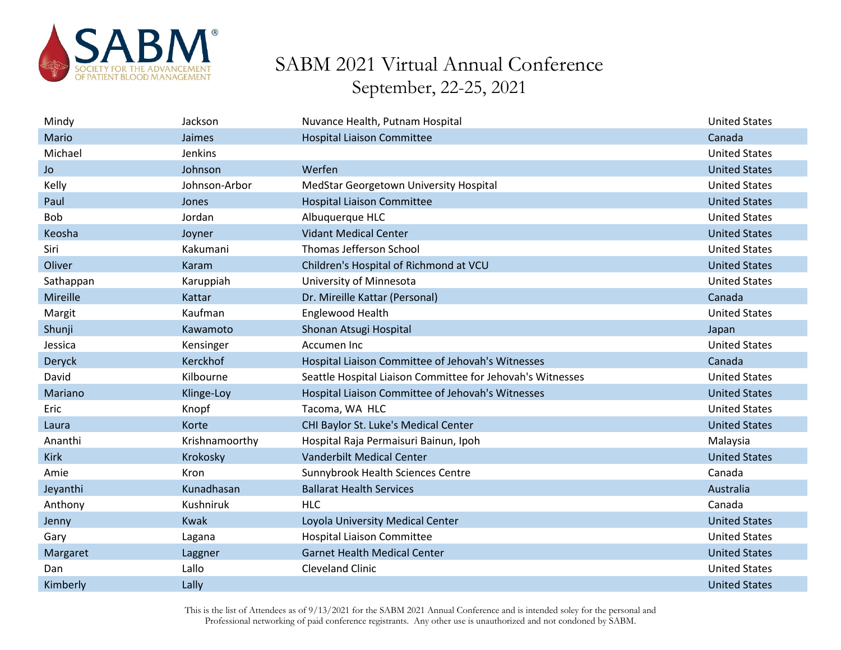

| Mindy       | Jackson        | Nuvance Health, Putnam Hospital                            | <b>United States</b> |
|-------------|----------------|------------------------------------------------------------|----------------------|
| Mario       | Jaimes         | <b>Hospital Liaison Committee</b>                          | Canada               |
| Michael     | Jenkins        |                                                            | <b>United States</b> |
| Jo          | Johnson        | Werfen                                                     | <b>United States</b> |
| Kelly       | Johnson-Arbor  | MedStar Georgetown University Hospital                     | <b>United States</b> |
| Paul        | Jones          | <b>Hospital Liaison Committee</b>                          | <b>United States</b> |
| <b>Bob</b>  | Jordan         | Albuquerque HLC                                            | <b>United States</b> |
| Keosha      | Joyner         | <b>Vidant Medical Center</b>                               | <b>United States</b> |
| Siri        | Kakumani       | Thomas Jefferson School                                    | <b>United States</b> |
| Oliver      | Karam          | Children's Hospital of Richmond at VCU                     | <b>United States</b> |
| Sathappan   | Karuppiah      | University of Minnesota                                    | <b>United States</b> |
| Mireille    | Kattar         | Dr. Mireille Kattar (Personal)                             | Canada               |
| Margit      | Kaufman        | Englewood Health                                           | <b>United States</b> |
| Shunji      | Kawamoto       | Shonan Atsugi Hospital                                     | Japan                |
| Jessica     | Kensinger      | Accumen Inc                                                | <b>United States</b> |
| Deryck      | Kerckhof       | Hospital Liaison Committee of Jehovah's Witnesses          | Canada               |
| David       | Kilbourne      | Seattle Hospital Liaison Committee for Jehovah's Witnesses | <b>United States</b> |
| Mariano     | Klinge-Loy     | Hospital Liaison Committee of Jehovah's Witnesses          | <b>United States</b> |
| Eric        | Knopf          | Tacoma, WA HLC                                             | <b>United States</b> |
| Laura       | Korte          | CHI Baylor St. Luke's Medical Center                       | <b>United States</b> |
| Ananthi     | Krishnamoorthy | Hospital Raja Permaisuri Bainun, Ipoh                      | Malaysia             |
| <b>Kirk</b> | Krokosky       | Vanderbilt Medical Center                                  | <b>United States</b> |
| Amie        | Kron           | Sunnybrook Health Sciences Centre                          | Canada               |
| Jeyanthi    | Kunadhasan     | <b>Ballarat Health Services</b>                            | Australia            |
| Anthony     | Kushniruk      | <b>HLC</b>                                                 | Canada               |
| Jenny       | Kwak           | Loyola University Medical Center                           | <b>United States</b> |
| Gary        | Lagana         | <b>Hospital Liaison Committee</b>                          | <b>United States</b> |
| Margaret    | Laggner        | <b>Garnet Health Medical Center</b>                        | <b>United States</b> |
|             |                |                                                            |                      |
| Dan         | Lallo          | <b>Cleveland Clinic</b>                                    | <b>United States</b> |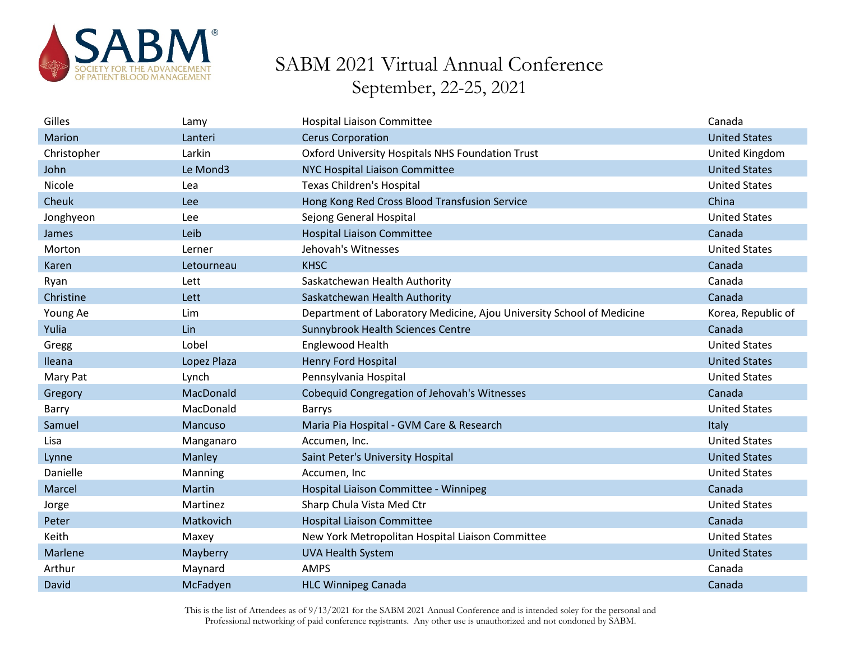

| Gilles      | Lamy        | <b>Hospital Liaison Committee</b>                                     | Canada               |
|-------------|-------------|-----------------------------------------------------------------------|----------------------|
| Marion      | Lanteri     | <b>Cerus Corporation</b>                                              | <b>United States</b> |
| Christopher | Larkin      | Oxford University Hospitals NHS Foundation Trust                      | United Kingdom       |
| John        | Le Mond3    | NYC Hospital Liaison Committee                                        | <b>United States</b> |
| Nicole      | Lea         | <b>Texas Children's Hospital</b>                                      | <b>United States</b> |
| Cheuk       | Lee         | Hong Kong Red Cross Blood Transfusion Service                         | China                |
| Jonghyeon   | Lee         | Sejong General Hospital                                               | <b>United States</b> |
| James       | Leib        | <b>Hospital Liaison Committee</b>                                     | Canada               |
| Morton      | Lerner      | Jehovah's Witnesses                                                   | <b>United States</b> |
| Karen       | Letourneau  | <b>KHSC</b>                                                           | Canada               |
| Ryan        | Lett        | Saskatchewan Health Authority                                         | Canada               |
| Christine   | Lett        | Saskatchewan Health Authority                                         | Canada               |
| Young Ae    | Lim         | Department of Laboratory Medicine, Ajou University School of Medicine | Korea, Republic of   |
| Yulia       | Lin         | Sunnybrook Health Sciences Centre                                     | Canada               |
| Gregg       | Lobel       | Englewood Health                                                      | <b>United States</b> |
| Ileana      | Lopez Plaza | Henry Ford Hospital                                                   | <b>United States</b> |
| Mary Pat    | Lynch       | Pennsylvania Hospital                                                 | <b>United States</b> |
| Gregory     | MacDonald   | Cobequid Congregation of Jehovah's Witnesses                          | Canada               |
| Barry       | MacDonald   | Barrys                                                                | <b>United States</b> |
| Samuel      | Mancuso     | Maria Pia Hospital - GVM Care & Research                              | Italy                |
| Lisa        | Manganaro   | Accumen, Inc.                                                         | <b>United States</b> |
| Lynne       | Manley      | Saint Peter's University Hospital                                     | <b>United States</b> |
| Danielle    | Manning     | Accumen, Inc                                                          | <b>United States</b> |
| Marcel      | Martin      | Hospital Liaison Committee - Winnipeg                                 | Canada               |
| Jorge       | Martinez    | Sharp Chula Vista Med Ctr                                             | <b>United States</b> |
| Peter       | Matkovich   | <b>Hospital Liaison Committee</b>                                     | Canada               |
| Keith       | Maxey       | New York Metropolitan Hospital Liaison Committee                      | <b>United States</b> |
| Marlene     | Mayberry    | <b>UVA Health System</b>                                              | <b>United States</b> |
| Arthur      | Maynard     | <b>AMPS</b>                                                           | Canada               |
| David       | McFadyen    | <b>HLC Winnipeg Canada</b>                                            | Canada               |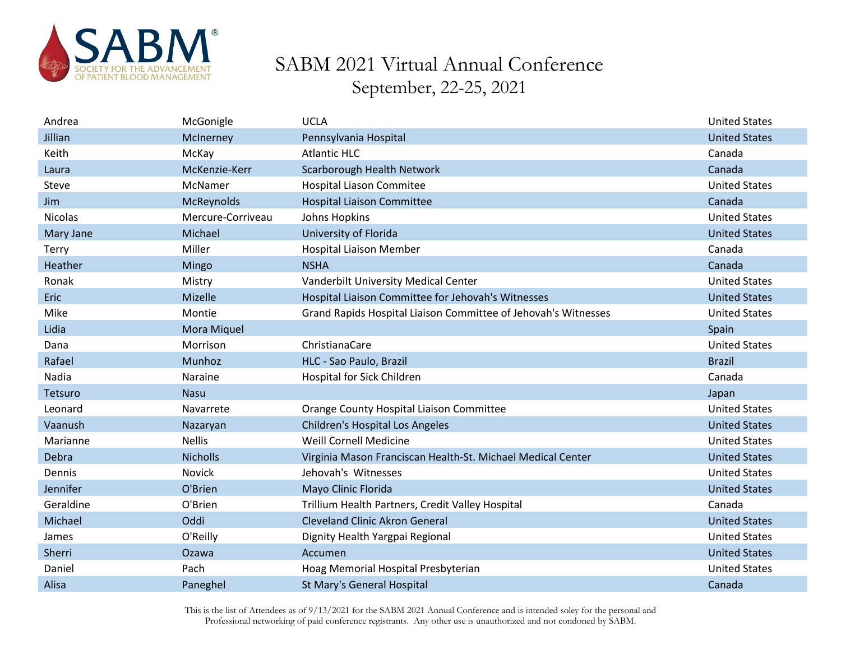

| Andrea         | McGonigle         | <b>UCLA</b>                                                    | <b>United States</b> |
|----------------|-------------------|----------------------------------------------------------------|----------------------|
| Jillian        | McInerney         | Pennsylvania Hospital                                          | <b>United States</b> |
| Keith          | McKay             | <b>Atlantic HLC</b>                                            | Canada               |
| Laura          | McKenzie-Kerr     | Scarborough Health Network                                     | Canada               |
| Steve          | McNamer           | <b>Hospital Liason Commitee</b>                                | <b>United States</b> |
| <b>Jim</b>     | McReynolds        | <b>Hospital Liaison Committee</b>                              | Canada               |
| <b>Nicolas</b> | Mercure-Corriveau | Johns Hopkins                                                  | <b>United States</b> |
| Mary Jane      | Michael           | University of Florida                                          | <b>United States</b> |
| Terry          | Miller            | <b>Hospital Liaison Member</b>                                 | Canada               |
| Heather        | Mingo             | <b>NSHA</b>                                                    | Canada               |
| Ronak          | Mistry            | Vanderbilt University Medical Center                           | <b>United States</b> |
| <b>Eric</b>    | Mizelle           | Hospital Liaison Committee for Jehovah's Witnesses             | <b>United States</b> |
| Mike           | Montie            | Grand Rapids Hospital Liaison Committee of Jehovah's Witnesses | <b>United States</b> |
| Lidia          | Mora Miquel       |                                                                | Spain                |
| Dana           | Morrison          | ChristianaCare                                                 | <b>United States</b> |
| Rafael         | Munhoz            | HLC - Sao Paulo, Brazil                                        | <b>Brazil</b>        |
| Nadia          | Naraine           | Hospital for Sick Children                                     | Canada               |
| Tetsuro        | <b>Nasu</b>       |                                                                | Japan                |
| Leonard        | Navarrete         | Orange County Hospital Liaison Committee                       | <b>United States</b> |
| Vaanush        | Nazaryan          | <b>Children's Hospital Los Angeles</b>                         | <b>United States</b> |
| Marianne       | <b>Nellis</b>     | Weill Cornell Medicine                                         | <b>United States</b> |
| Debra          | <b>Nicholls</b>   | Virginia Mason Franciscan Health-St. Michael Medical Center    | <b>United States</b> |
| Dennis         | Novick            | Jehovah's Witnesses                                            | <b>United States</b> |
| Jennifer       | O'Brien           | Mayo Clinic Florida                                            | <b>United States</b> |
| Geraldine      | O'Brien           | Trillium Health Partners, Credit Valley Hospital               | Canada               |
| Michael        | Oddi              | <b>Cleveland Clinic Akron General</b>                          | <b>United States</b> |
| James          | O'Reilly          | Dignity Health Yargpai Regional                                | <b>United States</b> |
| Sherri         | Ozawa             | Accumen                                                        | <b>United States</b> |
| Daniel         | Pach              | Hoag Memorial Hospital Presbyterian                            | <b>United States</b> |
| Alisa          | Paneghel          | St Mary's General Hospital                                     | Canada               |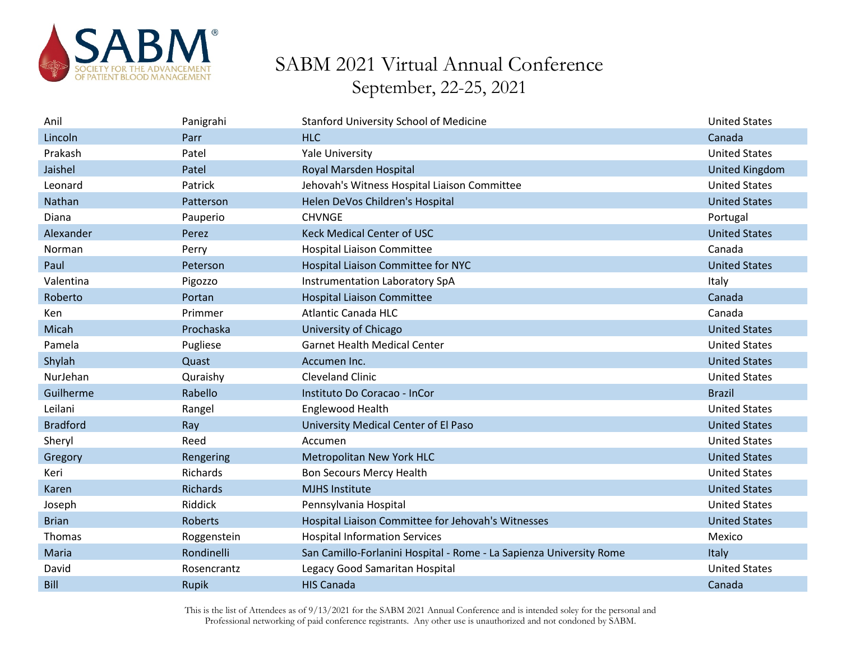

| Anil            | Panigrahi       | <b>Stanford University School of Medicine</b>                       | <b>United States</b>  |
|-----------------|-----------------|---------------------------------------------------------------------|-----------------------|
| Lincoln         | Parr            | <b>HLC</b>                                                          | Canada                |
| Prakash         | Patel           | <b>Yale University</b>                                              | <b>United States</b>  |
| Jaishel         | Patel           | Royal Marsden Hospital                                              | <b>United Kingdom</b> |
| Leonard         | Patrick         | Jehovah's Witness Hospital Liaison Committee                        | <b>United States</b>  |
| Nathan          | Patterson       | Helen DeVos Children's Hospital                                     | <b>United States</b>  |
| Diana           | Pauperio        | <b>CHVNGE</b>                                                       | Portugal              |
| Alexander       | Perez           | <b>Keck Medical Center of USC</b>                                   | <b>United States</b>  |
| Norman          | Perry           | <b>Hospital Liaison Committee</b>                                   | Canada                |
| Paul            | Peterson        | Hospital Liaison Committee for NYC                                  | <b>United States</b>  |
| Valentina       | Pigozzo         | Instrumentation Laboratory SpA                                      | Italy                 |
| Roberto         | Portan          | <b>Hospital Liaison Committee</b>                                   | Canada                |
| Ken             | Primmer         | <b>Atlantic Canada HLC</b>                                          | Canada                |
| Micah           | Prochaska       | University of Chicago                                               | <b>United States</b>  |
| Pamela          | Pugliese        | <b>Garnet Health Medical Center</b>                                 | <b>United States</b>  |
| Shylah          | Quast           | Accumen Inc.                                                        | <b>United States</b>  |
| NurJehan        | Quraishy        | <b>Cleveland Clinic</b>                                             | <b>United States</b>  |
| Guilherme       | Rabello         | Instituto Do Coracao - InCor                                        | <b>Brazil</b>         |
| Leilani         | Rangel          | Englewood Health                                                    | <b>United States</b>  |
| <b>Bradford</b> | Ray             | University Medical Center of El Paso                                | <b>United States</b>  |
| Sheryl          | Reed            | Accumen                                                             | <b>United States</b>  |
| Gregory         | Rengering       | Metropolitan New York HLC                                           | <b>United States</b>  |
| Keri            | Richards        | <b>Bon Secours Mercy Health</b>                                     | <b>United States</b>  |
| Karen           | <b>Richards</b> | <b>MJHS Institute</b>                                               | <b>United States</b>  |
| Joseph          | Riddick         | Pennsylvania Hospital                                               | <b>United States</b>  |
| <b>Brian</b>    | <b>Roberts</b>  | Hospital Liaison Committee for Jehovah's Witnesses                  | <b>United States</b>  |
| Thomas          | Roggenstein     | <b>Hospital Information Services</b>                                | Mexico                |
| Maria           | Rondinelli      | San Camillo-Forlanini Hospital - Rome - La Sapienza University Rome | Italy                 |
| David           | Rosencrantz     | Legacy Good Samaritan Hospital                                      | <b>United States</b>  |
| Bill            | Rupik           | <b>HIS Canada</b>                                                   | Canada                |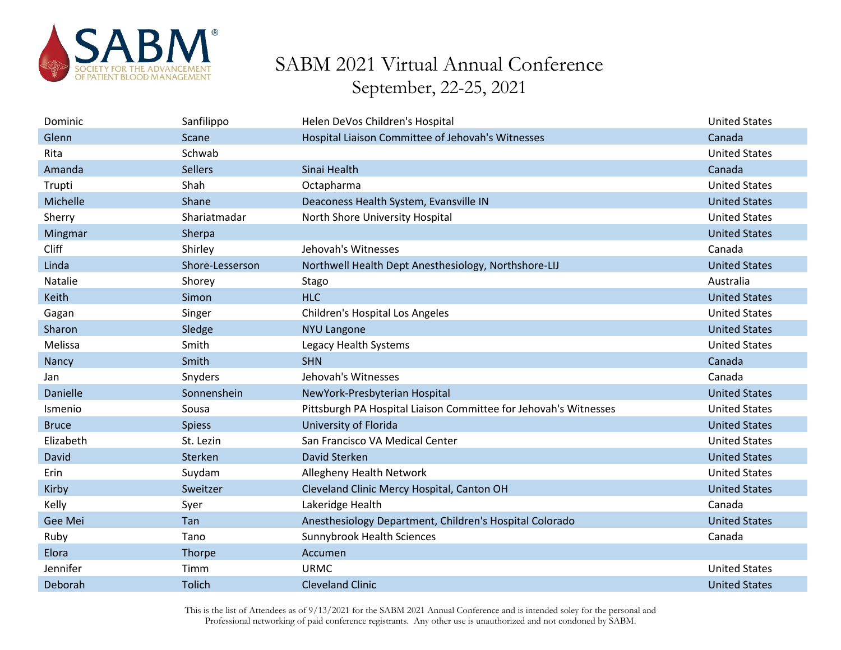

| Dominic      | Sanfilippo      | Helen DeVos Children's Hospital                                  | <b>United States</b> |
|--------------|-----------------|------------------------------------------------------------------|----------------------|
| Glenn        | Scane           | Hospital Liaison Committee of Jehovah's Witnesses                | Canada               |
| Rita         | Schwab          |                                                                  | <b>United States</b> |
| Amanda       | <b>Sellers</b>  | Sinai Health                                                     | Canada               |
| Trupti       | Shah            | Octapharma                                                       | <b>United States</b> |
| Michelle     | Shane           | Deaconess Health System, Evansville IN                           | <b>United States</b> |
| Sherry       | Shariatmadar    | North Shore University Hospital                                  | <b>United States</b> |
| Mingmar      | Sherpa          |                                                                  | <b>United States</b> |
| Cliff        | Shirley         | Jehovah's Witnesses                                              | Canada               |
| Linda        | Shore-Lesserson | Northwell Health Dept Anesthesiology, Northshore-LIJ             | <b>United States</b> |
| Natalie      | Shorey          | Stago                                                            | Australia            |
| Keith        | Simon           | <b>HLC</b>                                                       | <b>United States</b> |
| Gagan        | Singer          | Children's Hospital Los Angeles                                  | <b>United States</b> |
| Sharon       | Sledge          | <b>NYU Langone</b>                                               | <b>United States</b> |
| Melissa      | Smith           | Legacy Health Systems                                            | <b>United States</b> |
| Nancy        | Smith           | <b>SHN</b>                                                       | Canada               |
| Jan          | Snyders         | Jehovah's Witnesses                                              | Canada               |
| Danielle     | Sonnenshein     | NewYork-Presbyterian Hospital                                    | <b>United States</b> |
| Ismenio      | Sousa           | Pittsburgh PA Hospital Liaison Committee for Jehovah's Witnesses | <b>United States</b> |
| <b>Bruce</b> | <b>Spiess</b>   | University of Florida                                            | <b>United States</b> |
| Elizabeth    | St. Lezin       | San Francisco VA Medical Center                                  | <b>United States</b> |
| David        | Sterken         | David Sterken                                                    | <b>United States</b> |
| Erin         | Suydam          | Allegheny Health Network                                         | <b>United States</b> |
| Kirby        | Sweitzer        | Cleveland Clinic Mercy Hospital, Canton OH                       | <b>United States</b> |
| Kelly        | Syer            | Lakeridge Health                                                 | Canada               |
| Gee Mei      | Tan             | Anesthesiology Department, Children's Hospital Colorado          | <b>United States</b> |
| Ruby         | Tano            | Sunnybrook Health Sciences                                       | Canada               |
| Elora        | Thorpe          | Accumen                                                          |                      |
| Jennifer     | Timm            | <b>URMC</b>                                                      | <b>United States</b> |
| Deborah      | <b>Tolich</b>   | <b>Cleveland Clinic</b>                                          | <b>United States</b> |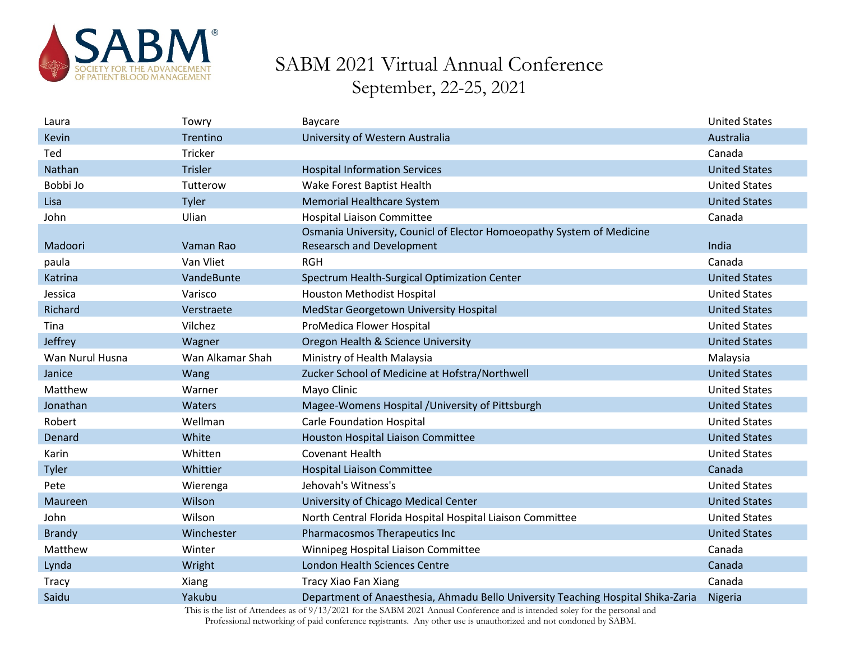

| Laura           | Towry            | Baycare                                                                          | <b>United States</b> |
|-----------------|------------------|----------------------------------------------------------------------------------|----------------------|
| Kevin           | Trentino         | University of Western Australia                                                  | Australia            |
| Ted             | Tricker          |                                                                                  | Canada               |
| Nathan          | <b>Trisler</b>   | <b>Hospital Information Services</b>                                             | <b>United States</b> |
| Bobbi Jo        | Tutterow         | Wake Forest Baptist Health                                                       | <b>United States</b> |
| Lisa            | Tyler            | Memorial Healthcare System                                                       | <b>United States</b> |
| John            | Ulian            | <b>Hospital Liaison Committee</b>                                                | Canada               |
|                 |                  | Osmania University, Counicl of Elector Homoeopathy System of Medicine            |                      |
| Madoori         | Vaman Rao        | <b>Researsch and Development</b>                                                 | India                |
| paula           | Van Vliet        | <b>RGH</b>                                                                       | Canada               |
| Katrina         | VandeBunte       | Spectrum Health-Surgical Optimization Center                                     | <b>United States</b> |
| Jessica         | Varisco          | Houston Methodist Hospital                                                       | <b>United States</b> |
| Richard         | Verstraete       | MedStar Georgetown University Hospital                                           | <b>United States</b> |
| Tina            | Vilchez          | ProMedica Flower Hospital                                                        | <b>United States</b> |
| Jeffrey         | Wagner           | Oregon Health & Science University                                               | <b>United States</b> |
| Wan Nurul Husna | Wan Alkamar Shah | Ministry of Health Malaysia                                                      | Malaysia             |
| Janice          | Wang             | Zucker School of Medicine at Hofstra/Northwell                                   | <b>United States</b> |
| Matthew         | Warner           | Mayo Clinic                                                                      | <b>United States</b> |
| Jonathan        | Waters           | Magee-Womens Hospital /University of Pittsburgh                                  | <b>United States</b> |
| Robert          | Wellman          | <b>Carle Foundation Hospital</b>                                                 | <b>United States</b> |
| Denard          | White            | Houston Hospital Liaison Committee                                               | <b>United States</b> |
| Karin           | Whitten          | <b>Covenant Health</b>                                                           | <b>United States</b> |
| Tyler           | Whittier         | <b>Hospital Liaison Committee</b>                                                | Canada               |
| Pete            | Wierenga         | Jehovah's Witness's                                                              | <b>United States</b> |
| Maureen         | Wilson           | University of Chicago Medical Center                                             | <b>United States</b> |
| John            | Wilson           | North Central Florida Hospital Hospital Liaison Committee                        | <b>United States</b> |
| <b>Brandy</b>   | Winchester       | Pharmacosmos Therapeutics Inc                                                    | <b>United States</b> |
| Matthew         | Winter           | Winnipeg Hospital Liaison Committee                                              | Canada               |
| Lynda           | Wright           | London Health Sciences Centre                                                    | Canada               |
| <b>Tracy</b>    | Xiang            | Tracy Xiao Fan Xiang                                                             | Canada               |
| Saidu           | Yakubu           | Department of Anaesthesia, Ahmadu Bello University Teaching Hospital Shika-Zaria | Nigeria              |